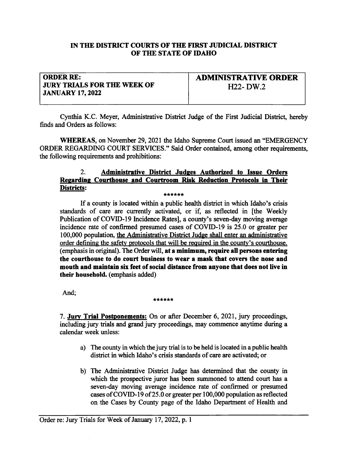## IN THE DISTRICT COURTS OF THE FIRST JUDICIAL DISTRICT OF THE STATE OF IDAHO

## ORDER RE: **JURY TRIALS FOR THE WEEK OF JANUARY 17, 2022**

ADMIIVSTRATTYE ORDER If22- DW.2

Cynthia K.C. Meyer, Administative Distict Judge of the First Judicial Distict, hereby finds and Orders as follows:

WHEREAS, on November 29, 2021 the Idaho Supreme Court issued an "EMERGENCY ORDER REGARDING COURT SERVICES." Said Order contained, among other requirements, the following requirements and prohibitions:

## 2. Administrative District Judges Authorized to Issue Orders Regarding Courthouse and Courtroom Risk Reduction Protocols in Their<br>Districts: Eslg: \*\*\*\*\*\*

If a county is located within a public health district in which Idaho's crisis standards of care are currently activated, or if, as reflected in [the Weekly Publication of COVID-I9 Incidence Rates], a county's seven-day moving average incidence rate of confirmed presumed cases of COVID-I9 is 25.0 or greater per 100,000 population, the Administative District Judge shall enter an administative order defining the safety protocols that will be required in the county's courthouse. (emphasis in original). The Order will, at a minimum, require all persons entering the courthouse to do court business to wear a mask that covers the nose and mouth and maintain six feet of social distance from anvone that does not live in their household. (emphasis added)

And; \*\*\*\*\*\*\*

7. Jury Trial Postponements: On or after December 6, 2021, jury proceedings, including jury trials and grand jury proceedings, may commence anytime during a calendar week unless:

- a) The county in which the jury trial is to be held is located in a public health district in which Idaho's crisis standards of care are activated; or
- b) The Administative District Judge has determined that the county in which the prospective juror has been summoned to attend court has <sup>a</sup> seven-day moving average incidence rate of confirmed or presumed cases of COVID- 19 of 25.0 or greater per 100,000 population as reflected on the Cases by County page of the Idaho Department of Health and